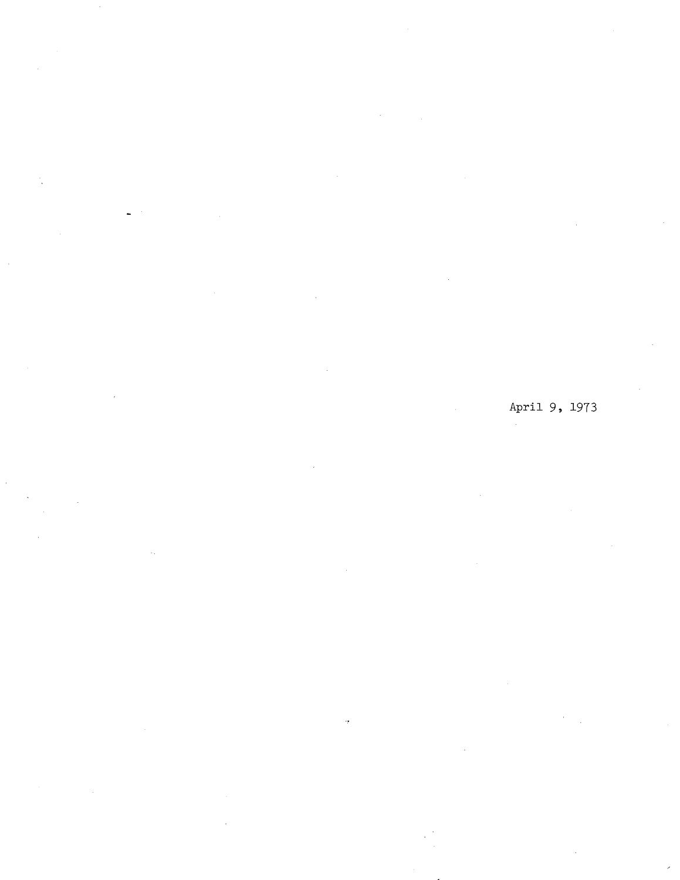April 9, 1973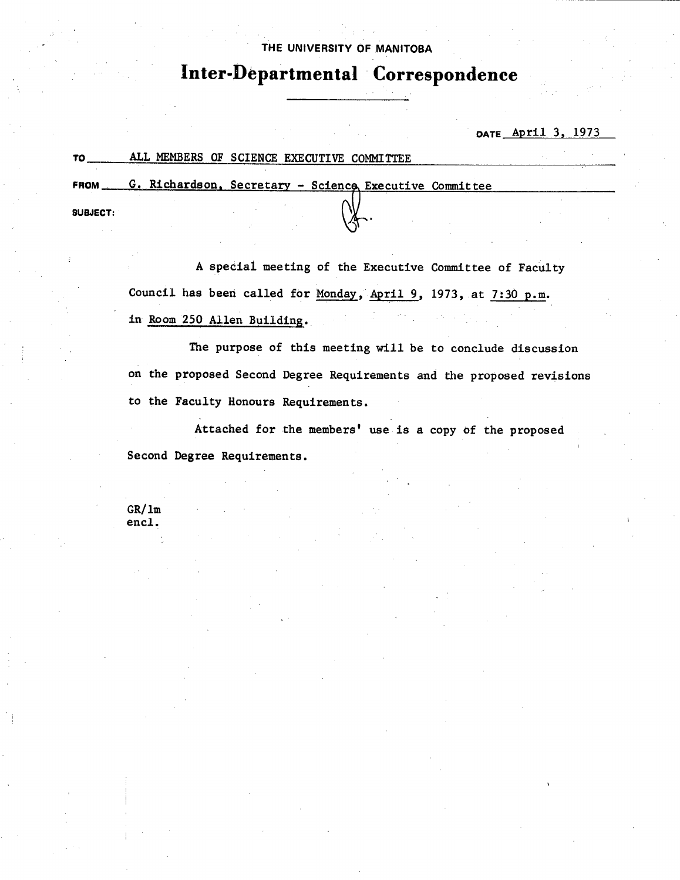### **THE UNIVERSITY OF MANITOBA**

# **Inter-Departmental Correspondence**

**DATE** April 3, 1973

13

| TO.         | ALL MEMBERS OF SCIENCE EXECUTIVE COMMITTEE             |  |
|-------------|--------------------------------------------------------|--|
| <b>FROM</b> | G. Richardson, Secretary - Science Executive Committee |  |
| SUBJECT:    |                                                        |  |

A special meeting of the Executive Committee of Faculty Council has been called for Monday, April 9, 1973, at 7:30 p.m. in Room 250 Allen Building.

The purpose of this meeting will be to conclude discussion on the proposed Second Degree Requirements and the proposed revisions to the Faculty Honours Requirements.

Attached for the members' use is a copy of the proposed Second Degree Requirements.

CR/lm encl.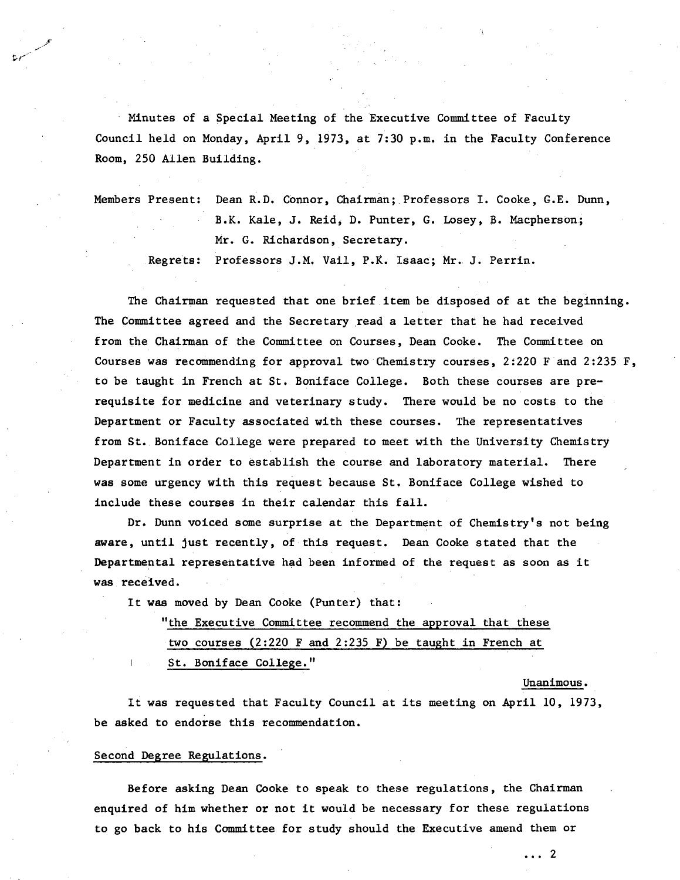Minutes of a Special Meeting of the Executive Committee of Faculty Council held on Monday, April 9, 1973, at 7:30 p.m. in the Faculty Conference Room, 250 Allen Building.

Members Present: Dean R.D. Connor, Chairman; Professors I. Cooke, G.E. Dunn, B.K. Kale, J. Reid, D. Punter, G. Losey, B. Macpherson; Mr. G. Richardson, Secretary.

Regrets: Professors J.M. Vail, P.K. Isaac; Mr.. J. Perrin.

The Chairman requested that one brief item be disposed of at the beginning. The Committee agreed and the Secretary read a letter that he had received from the Chairman of the Committee on Courses, Dean Cooke. The Committee on Courses was recommending for approval two Chemistry courses, 2:220 F and 2:235 F, to be taught in French at St. Boniface College. Both these courses are prerequisite for medicine and veterinary study. There would be no costs to the Department or Faculty associated with these courses. The representatives from St. Boniface College were prepared to meet with the University Chemistry Department in order to establish the course and laboratory material. There was some urgency with this request because St. Boniface College wished to include these courses in their calendar this fall.

Dr. Dunn voiced some surprise at the Department of Chemistry's not being aware, until just recently, of this request. Dean Cooke stated that the Departmental representative had been informed of the request as soon as it was received.

It was moved by Dean Cooke (Punter) that:

"the Executive Committee recommend the approval that these

two courses (2:220 F and 2:235 F) be taught in French at

St. Boniface College."

Unanimous.

It was requested that Faculty Council at its meeting on April 10, 1973, be asked to endorse this recommendation.

#### Second Degree Regulations.

Before asking Dean Cooke to speak to these regulations, the Chairman enquired of him whether or not it would be necessary for these regulations to go back to his Committee for study should the Executive amend them or

 $\cdots$  2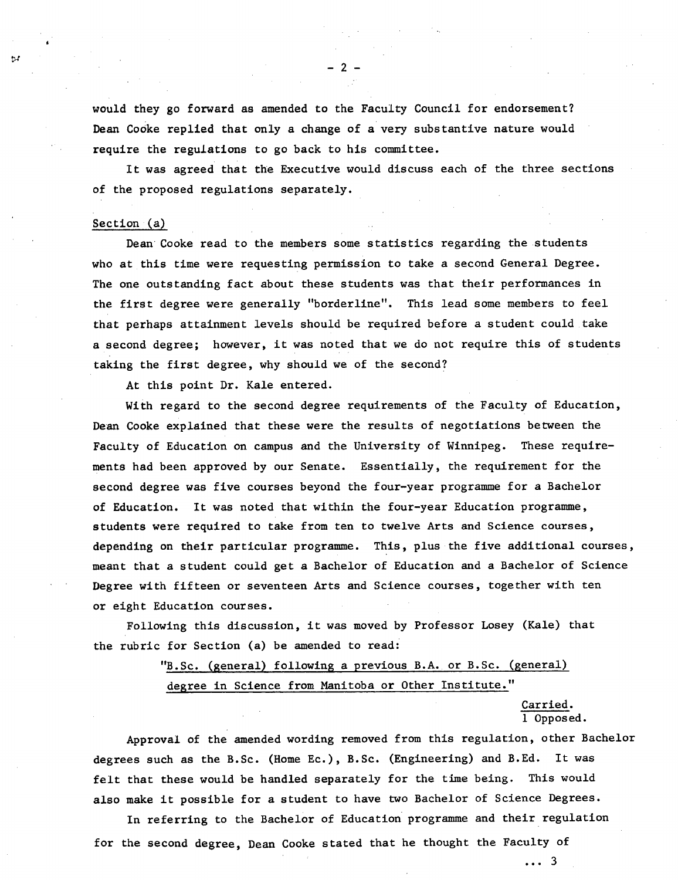would they go forward as amended to the Faculty Council for endorsement? Dean CoOke replied that only a change of a very substantive nature would require the regulations to go back to his committee.

It was agreed that the Executive would discuss each of the three sections of the proposed regulations separately.

#### Section  $(a)$

 $^{11}$ 

Dean Cooke read to the members some statistics regarding the students who at this time were requesting permission to take a second General Degree. The one outstanding fact about these students was that their performances in the first degree were generally "borderline". This lead some members to feel that perhaps attainment levels should be required before a student could take a second degree; however, it was noted that we do not require this of students taking the first degree, why should we of the second?

At this point Dr. Kale entered.

With regard to the second degree requirements of the Faculty of Education, Dean Cooke explained that these were the results of negotiations between the Faculty of Education on campus and the University of Winnipeg. These requirements had been approved by our Senate. Essentially, the requirement for the second degree was five courses beyond the four-year programme for a Bachelor of Education. It was noted that within the four-year Education programme, students were required to take from ten to twelve Arts and Science courses, depending on their particular programme. This, plus the five additional courses, meant that a student could get a Bachelor of Education and a Bachelor of Science Degree with fifteen or seventeen Arts and Science courses, together with ten or eight Education courses.

Following this discussion, it was moved by Professor Losey (Kale) that the rubric for Section (a) be amended to read:

## "B.Sc. (general) following a previous B.A. or B.Sc. (general) degree in Science from Manitoba or Other Institute."

Carried. 1 Opposed.

Approval of the amended wording removed from this regulation, other Bachelor degrees such as the B.Sc. (Home Ec.), B.Sc. (Engineering) and B.Ed. It was felt that these would be handled separately for the time being. This would also make it possible for a student to have two Bachelor of Science Degrees.

In referring to the Bachelor of Education programme and their regulation for the second degree, Dean Cooke stated that he thought the Faculty of

... 3

 $2^{\circ}$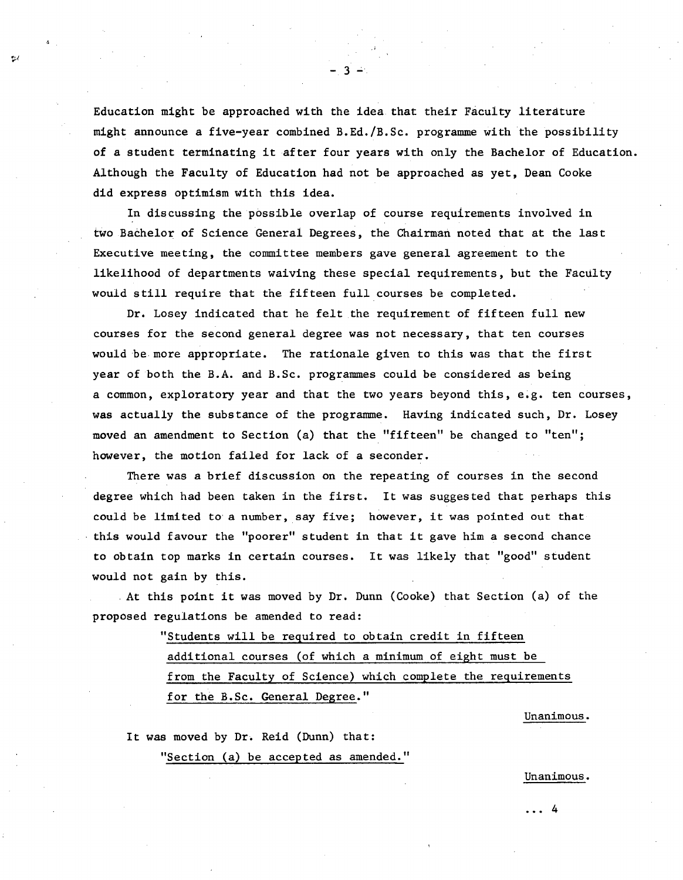Education might be approached with the idea that their Faculty literature might announce a five-year combined B.Ed./B.Sc. programme with the possibility of a student terminating it after four years with only the Bachelor of Education. Although the Faculty of Education had not be approached as yet, Dean Cooke did express optimism with this idea.

-3-

In discussing the possible overlap of course requirements involved in two Bachelor of Science General Degrees, the Chairman noted that at the last Executive meeting, the committee members gave general agreement to the likelihood of departments waiving these special requirements, but the Faculty would still require that the fifteen full courses be completed.

Dr. Losey indicated that he felt the requirement of fifteen full new courses for the second general degree was not necessary, that ten courses would be more appropriate. The rationale given to this was that the first year of both the B.A. and B.Sc. programmes could be considered as being a common, exploratory year and that the two years beyond this, e.g. ten courses, was actually the substance of the programme. Having indicated such, Dr. Losey moved an amendment to Section (a) that the "fifteen" be changed to "ten"; however, the motion failed for lack of a seconder.

There was a brief discussion on the repeating of courses in the second degree which had been taken in the first. It was suggested that perhaps this could be limited to a number, say five; however, it was pointed out that this would favour the "poorer" student in that it gave him a second chance to obtain top marks in certain courses. It was likely that "good" student would not gain by this.

At this point it was moved by Dr. Dunn (Cooke) that Section (a) of the proposed regulations be amended to read:

> "Students will be required to obtain credit in fifteen additional courses (of which a minimum of eight must be from the Faculty of Science) which complete the requirements for the B.Sc. General Degree."

> > Unanimous.

It was moved by Dr. Reid (Dunn) that:

"Section (a) be accepted as amended."

Unanimous.

...4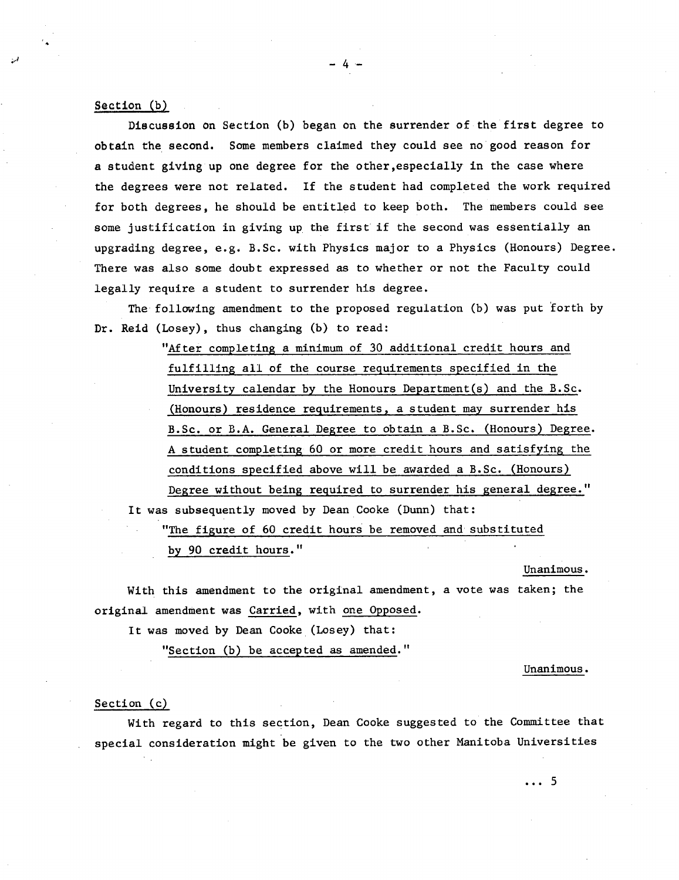#### Section (b)

Discussion on Section (b) began on the surrender of the first degree to obtain the second. Some members claimed they could see no good reason for a student giving up one degree for the other,especially in the case where the degrees were not related. If the student had completed the work required for both degrees, he should be entitled to keep both. The members could see some justification in giving up. the first if the second was essentially an upgrading degree, e.g. B.Sc. with Physics major to a Physics (Honours) Degree. There was also some doubt expressed as to whether or not the Faculty could legally require a student to surrender his degree.

The following amendment to the proposed regulation (b) was put forth by Dr. Reid (Losey), thus changing (b) to read:

> "After completing a minimum of 30 additional credit hours and fulfilling all of the course requirements specified in the University calendar by the Honours Department(s) and the B.Sc. (Honours) residence requirements, a student may surrender his B.Sc. or B.A. General Degree to obtain a B.Sc. (Honours) Degree. A student completing 60 or more credit hours and satisfying the conditions specified above will be awarded a B.Sc. (Honours) Degree without being required to surrender his general degree."

It was subsequently moved by Dean Cooke (Dunn) that:

"The figure of 60 credit hours be removed and substituted by 90 credit hours."

Unanimous.

With this amendment to the original amendment, a vote was taken; the original amendment was Carried, with one Opposed.

It was moved by Dean Cooke (Losey) that:

"Section (b) be accepted as amended."

Unanimous.

...5

#### Section (c)

With regard to this section, Dean Cooke suggested to the Committee that special consideration might be given to the two other Manitoba Universities